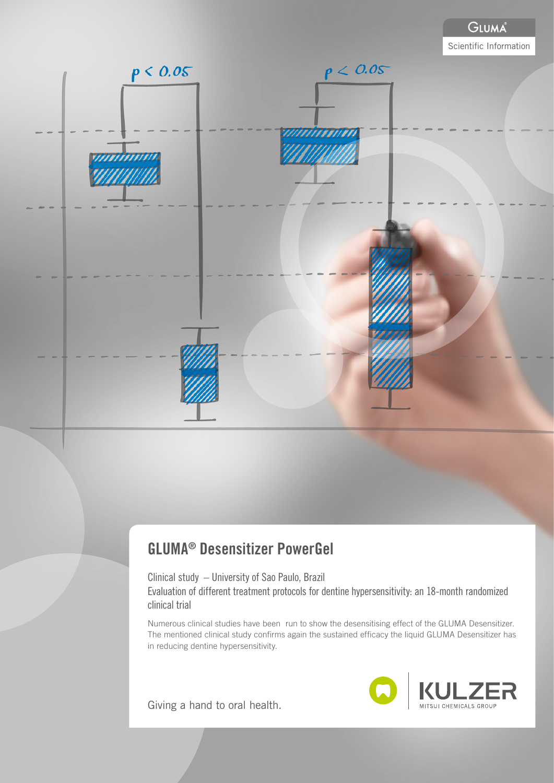

# GLUMA® Desensitizer PowerGel

Clinical study – University of Sao Paulo, Brazil Evaluation of different treatment protocols for dentine hypersensitivity: an 18-month randomized clinical trial

Numerous clinical studies have been run to show the desensitising effect of the GLUMA Desensitizer. The mentioned clinical study confirms again the sustained efficacy the liquid GLUMA Desensitizer has in reducing dentine hypersensitivity.

Giving a hand to oral health.